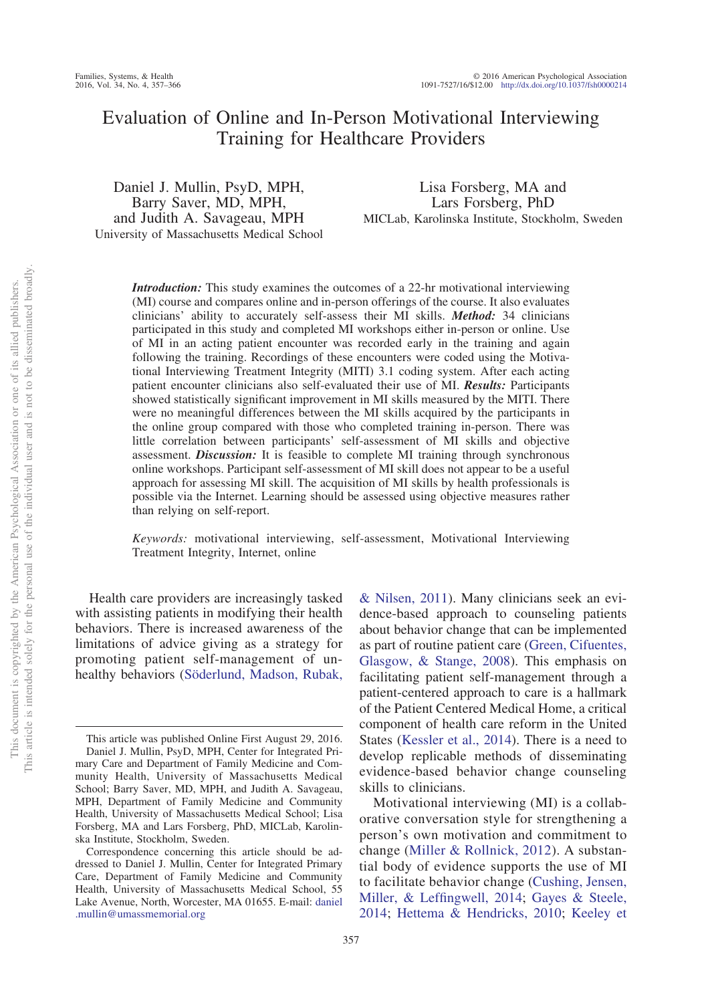# Evaluation of Online and In-Person Motivational Interviewing Training for Healthcare Providers

Daniel J. Mullin, PsyD, MPH, Barry Saver, MD, MPH, and Judith A. Savageau, MPH University of Massachusetts Medical School

Lisa Forsberg, MA and Lars Forsberg, PhD MICLab, Karolinska Institute, Stockholm, Sweden

*Introduction:* This study examines the outcomes of a 22-hr motivational interviewing (MI) course and compares online and in-person offerings of the course. It also evaluates clinicians' ability to accurately self-assess their MI skills. *Method:* 34 clinicians participated in this study and completed MI workshops either in-person or online. Use of MI in an acting patient encounter was recorded early in the training and again following the training. Recordings of these encounters were coded using the Motivational Interviewing Treatment Integrity (MITI) 3.1 coding system. After each acting patient encounter clinicians also self-evaluated their use of MI. *Results:* Participants showed statistically significant improvement in MI skills measured by the MITI. There were no meaningful differences between the MI skills acquired by the participants in the online group compared with those who completed training in-person. There was little correlation between participants' self-assessment of MI skills and objective assessment. *Discussion:* It is feasible to complete MI training through synchronous online workshops. Participant self-assessment of MI skill does not appear to be a useful approach for assessing MI skill. The acquisition of MI skills by health professionals is possible via the Internet. Learning should be assessed using objective measures rather than relying on self-report.

*Keywords:* motivational interviewing, self-assessment, Motivational Interviewing Treatment Integrity, Internet, online

Health care providers are increasingly tasked with assisting patients in modifying their health behaviors. There is increased awareness of the limitations of advice giving as a strategy for promoting patient self-management of unhealthy behaviors [\(Söderlund, Madson, Rubak,](#page-9-0)

[& Nilsen, 2011\)](#page-9-0). Many clinicians seek an evidence-based approach to counseling patients about behavior change that can be implemented as part of routine patient care [\(Green, Cifuentes,](#page-8-0) [Glasgow, & Stange, 2008\)](#page-8-0). This emphasis on facilitating patient self-management through a patient-centered approach to care is a hallmark of the Patient Centered Medical Home, a critical component of health care reform in the United States [\(Kessler et al., 2014\)](#page-9-1). There is a need to develop replicable methods of disseminating evidence-based behavior change counseling skills to clinicians.

Motivational interviewing (MI) is a collaborative conversation style for strengthening a person's own motivation and commitment to change [\(Miller & Rollnick, 2012\)](#page-9-2). A substantial body of evidence supports the use of MI to facilitate behavior change [\(Cushing, Jensen,](#page-8-1) [Miller, & Leffingwell, 2014;](#page-8-1) [Gayes & Steele,](#page-8-2) [2014;](#page-8-2) [Hettema & Hendricks, 2010;](#page-9-3) [Keeley et](#page-9-4)

This article was published Online First August 29, 2016. Daniel J. Mullin, PsyD, MPH, Center for Integrated Primary Care and Department of Family Medicine and Community Health, University of Massachusetts Medical School; Barry Saver, MD, MPH, and Judith A. Savageau, MPH, Department of Family Medicine and Community Health, University of Massachusetts Medical School; Lisa Forsberg, MA and Lars Forsberg, PhD, MICLab, Karolinska Institute, Stockholm, Sweden.

Correspondence concerning this article should be addressed to Daniel J. Mullin, Center for Integrated Primary Care, Department of Family Medicine and Community Health, University of Massachusetts Medical School, 55 Lake Avenue, North, Worcester, MA 01655. E-mail: [daniel](mailto:daniel.mullin@umassmemorial.org) [.mullin@umassmemorial.org](mailto:daniel.mullin@umassmemorial.org)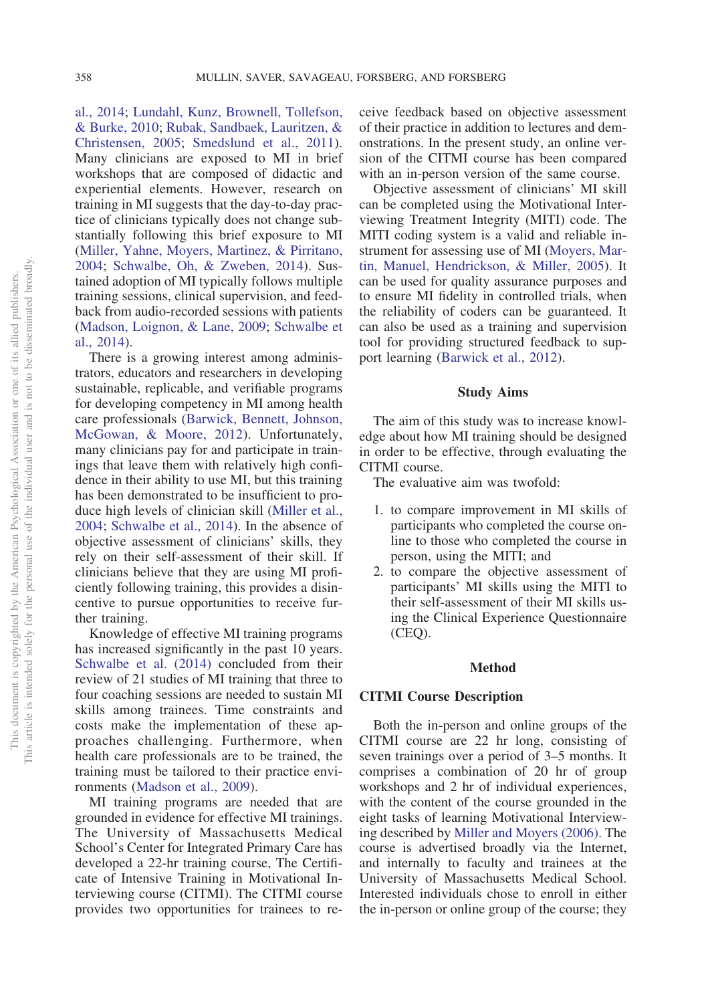[al., 2014;](#page-9-4) [Lundahl, Kunz, Brownell, Tollefson,](#page-9-5) [& Burke, 2010;](#page-9-5) [Rubak, Sandbaek, Lauritzen, &](#page-9-6) [Christensen, 2005;](#page-9-6) [Smedslund et al., 2011\)](#page-9-7). Many clinicians are exposed to MI in brief workshops that are composed of didactic and experiential elements. However, research on training in MI suggests that the day-to-day practice of clinicians typically does not change substantially following this brief exposure to MI [\(Miller, Yahne, Moyers, Martinez, & Pirritano,](#page-9-8) [2004;](#page-9-8) [Schwalbe, Oh, & Zweben, 2014\)](#page-9-9). Sustained adoption of MI typically follows multiple training sessions, clinical supervision, and feedback from audio-recorded sessions with patients [\(Madson, Loignon, & Lane, 2009;](#page-9-10) [Schwalbe et](#page-9-9) [al., 2014\)](#page-9-9).

There is a growing interest among administrators, educators and researchers in developing sustainable, replicable, and verifiable programs for developing competency in MI among health care professionals [\(Barwick, Bennett, Johnson,](#page-8-3) [McGowan, & Moore, 2012\)](#page-8-3). Unfortunately, many clinicians pay for and participate in trainings that leave them with relatively high confidence in their ability to use MI, but this training has been demonstrated to be insufficient to produce high levels of clinician skill [\(Miller et al.,](#page-9-8) [2004;](#page-9-8) [Schwalbe et al., 2014\)](#page-9-9). In the absence of objective assessment of clinicians' skills, they rely on their self-assessment of their skill. If clinicians believe that they are using MI proficiently following training, this provides a disincentive to pursue opportunities to receive further training.

Knowledge of effective MI training programs has increased significantly in the past 10 years. [Schwalbe et al. \(2014\)](#page-9-9) concluded from their review of 21 studies of MI training that three to four coaching sessions are needed to sustain MI skills among trainees. Time constraints and costs make the implementation of these approaches challenging. Furthermore, when health care professionals are to be trained, the training must be tailored to their practice environments [\(Madson et al., 2009\)](#page-9-10).

MI training programs are needed that are grounded in evidence for effective MI trainings. The University of Massachusetts Medical School's Center for Integrated Primary Care has developed a 22-hr training course, The Certificate of Intensive Training in Motivational Interviewing course (CITMI). The CITMI course provides two opportunities for trainees to receive feedback based on objective assessment of their practice in addition to lectures and demonstrations. In the present study, an online version of the CITMI course has been compared with an in-person version of the same course.

Objective assessment of clinicians' MI skill can be completed using the Motivational Interviewing Treatment Integrity (MITI) code. The MITI coding system is a valid and reliable instrument for assessing use of MI [\(Moyers, Mar](#page-9-11)[tin, Manuel, Hendrickson, & Miller, 2005\)](#page-9-11). It can be used for quality assurance purposes and to ensure MI fidelity in controlled trials, when the reliability of coders can be guaranteed. It can also be used as a training and supervision tool for providing structured feedback to support learning [\(Barwick et al., 2012\)](#page-8-3).

## **Study Aims**

The aim of this study was to increase knowledge about how MI training should be designed in order to be effective, through evaluating the CITMI course.

The evaluative aim was twofold:

- 1. to compare improvement in MI skills of participants who completed the course online to those who completed the course in person, using the MITI; and
- 2. to compare the objective assessment of participants' MI skills using the MITI to their self-assessment of their MI skills using the Clinical Experience Questionnaire (CEQ).

## **Method**

## **CITMI Course Description**

Both the in-person and online groups of the CITMI course are 22 hr long, consisting of seven trainings over a period of 3–5 months. It comprises a combination of 20 hr of group workshops and 2 hr of individual experiences, with the content of the course grounded in the eight tasks of learning Motivational Interviewing described by [Miller and Moyers \(2006\).](#page-9-12) The course is advertised broadly via the Internet, and internally to faculty and trainees at the University of Massachusetts Medical School. Interested individuals chose to enroll in either the in-person or online group of the course; they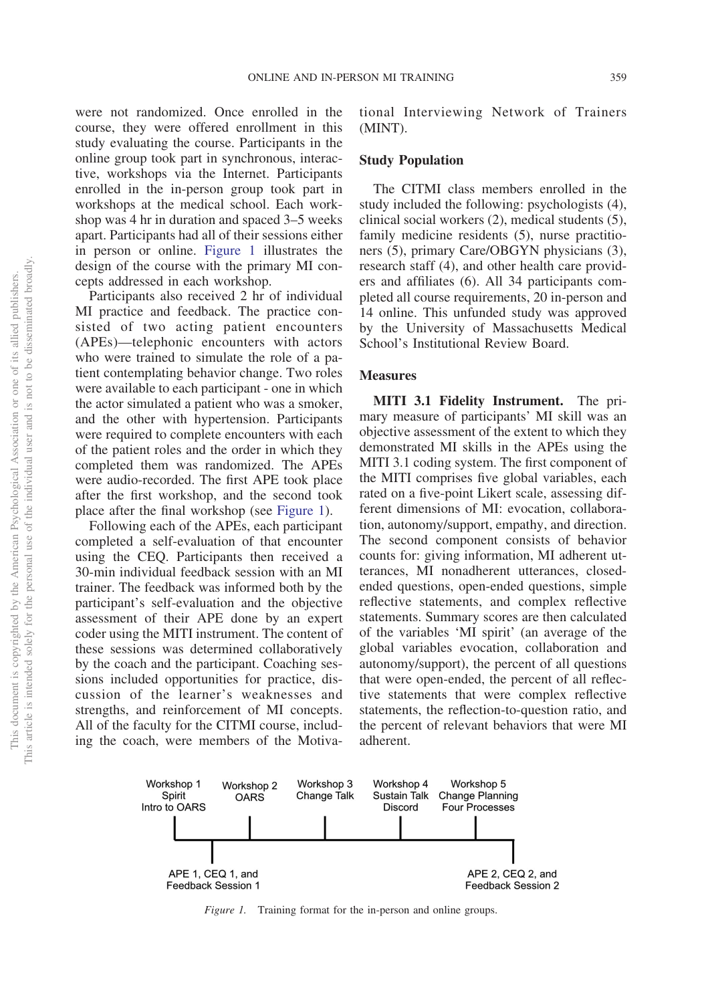were not randomized. Once enrolled in the course, they were offered enrollment in this study evaluating the course. Participants in the online group took part in synchronous, interactive, workshops via the Internet. Participants enrolled in the in-person group took part in workshops at the medical school. Each workshop was 4 hr in duration and spaced 3–5 weeks apart. Participants had all of their sessions either in person or online. [Figure 1](#page-2-0) illustrates the design of the course with the primary MI concepts addressed in each workshop.

Participants also received 2 hr of individual MI practice and feedback. The practice consisted of two acting patient encounters (APEs)—telephonic encounters with actors who were trained to simulate the role of a patient contemplating behavior change. Two roles were available to each participant - one in which the actor simulated a patient who was a smoker, and the other with hypertension. Participants were required to complete encounters with each of the patient roles and the order in which they completed them was randomized. The APEs were audio-recorded. The first APE took place after the first workshop, and the second took place after the final workshop (see [Figure 1\)](#page-2-0).

Following each of the APEs, each participant completed a self-evaluation of that encounter using the CEQ. Participants then received a 30-min individual feedback session with an MI trainer. The feedback was informed both by the participant's self-evaluation and the objective assessment of their APE done by an expert coder using the MITI instrument. The content of these sessions was determined collaboratively by the coach and the participant. Coaching sessions included opportunities for practice, discussion of the learner's weaknesses and strengths, and reinforcement of MI concepts. All of the faculty for the CITMI course, including the coach, were members of the Motivational Interviewing Network of Trainers (MINT).

## **Study Population**

The CITMI class members enrolled in the study included the following: psychologists (4), clinical social workers (2), medical students (5), family medicine residents (5), nurse practitioners (5), primary Care/OBGYN physicians (3), research staff (4), and other health care providers and affiliates (6). All 34 participants completed all course requirements, 20 in-person and 14 online. This unfunded study was approved by the University of Massachusetts Medical School's Institutional Review Board.

## **Measures**

**MITI 3.1 Fidelity Instrument.** The primary measure of participants' MI skill was an objective assessment of the extent to which they demonstrated MI skills in the APEs using the MITI 3.1 coding system. The first component of the MITI comprises five global variables, each rated on a five-point Likert scale, assessing different dimensions of MI: evocation, collaboration, autonomy/support, empathy, and direction. The second component consists of behavior counts for: giving information, MI adherent utterances, MI nonadherent utterances, closedended questions, open-ended questions, simple reflective statements, and complex reflective statements. Summary scores are then calculated of the variables 'MI spirit' (an average of the global variables evocation, collaboration and autonomy/support), the percent of all questions that were open-ended, the percent of all reflective statements that were complex reflective statements, the reflection-to-question ratio, and the percent of relevant behaviors that were MI adherent.



<span id="page-2-0"></span>*Figure 1.* Training format for the in-person and online groups.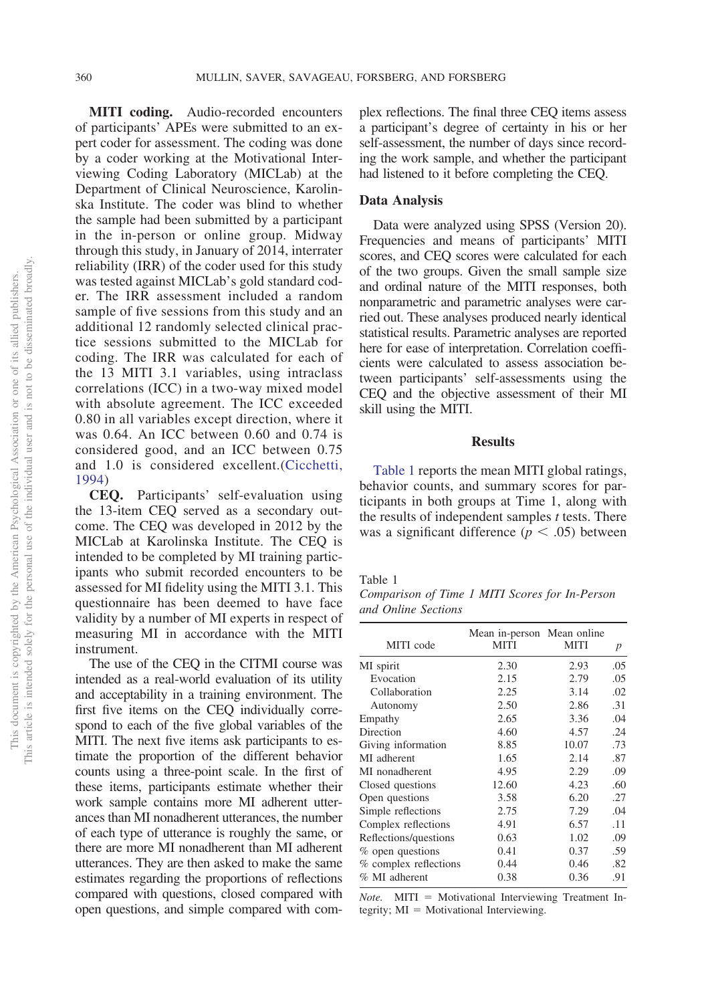**MITI coding.** Audio-recorded encounters of participants' APEs were submitted to an expert coder for assessment. The coding was done by a coder working at the Motivational Interviewing Coding Laboratory (MICLab) at the Department of Clinical Neuroscience, Karolinska Institute. The coder was blind to whether the sample had been submitted by a participant in the in-person or online group. Midway through this study, in January of 2014, interrater reliability (IRR) of the coder used for this study was tested against MICLab's gold standard coder. The IRR assessment included a random sample of five sessions from this study and an additional 12 randomly selected clinical practice sessions submitted to the MICLab for coding. The IRR was calculated for each of the 13 MITI 3.1 variables, using intraclass correlations (ICC) in a two-way mixed model with absolute agreement. The ICC exceeded 0.80 in all variables except direction, where it was 0.64. An ICC between 0.60 and 0.74 is considered good, and an ICC between 0.75 and 1.0 is considered excellent.[\(Cicchetti,](#page-8-4) [1994\)](#page-8-4)

**CEQ.** Participants' self-evaluation using the 13-item CEQ served as a secondary outcome. The CEQ was developed in 2012 by the MICLab at Karolinska Institute. The CEQ is intended to be completed by MI training participants who submit recorded encounters to be assessed for MI fidelity using the MITI 3.1. This questionnaire has been deemed to have face validity by a number of MI experts in respect of measuring MI in accordance with the MITI instrument.

The use of the CEQ in the CITMI course was intended as a real-world evaluation of its utility and acceptability in a training environment. The first five items on the CEQ individually correspond to each of the five global variables of the MITI. The next five items ask participants to estimate the proportion of the different behavior counts using a three-point scale. In the first of these items, participants estimate whether their work sample contains more MI adherent utterances than MI nonadherent utterances, the number of each type of utterance is roughly the same, or there are more MI nonadherent than MI adherent utterances. They are then asked to make the same estimates regarding the proportions of reflections compared with questions, closed compared with open questions, and simple compared with complex reflections. The final three CEQ items assess a participant's degree of certainty in his or her self-assessment, the number of days since recording the work sample, and whether the participant had listened to it before completing the CEQ.

## **Data Analysis**

Data were analyzed using SPSS (Version 20). Frequencies and means of participants' MITI scores, and CEQ scores were calculated for each of the two groups. Given the small sample size and ordinal nature of the MITI responses, both nonparametric and parametric analyses were carried out. These analyses produced nearly identical statistical results. Parametric analyses are reported here for ease of interpretation. Correlation coefficients were calculated to assess association between participants' self-assessments using the CEQ and the objective assessment of their MI skill using the MITI.

# **Results**

[Table 1](#page-3-0) reports the mean MITI global ratings, behavior counts, and summary scores for participants in both groups at Time 1, along with the results of independent samples *t* tests. There was a significant difference  $(p < .05)$  between

#### <span id="page-3-0"></span>Table 1

*Comparison of Time 1 MITI Scores for In-Person and Online Sections*

| MITI code             | Mean in-person Mean online<br><b>MITI</b> | MITI  | $\boldsymbol{p}$ |
|-----------------------|-------------------------------------------|-------|------------------|
| MI spirit             | 2.30                                      | 2.93  | .05              |
| Evocation             | 2.15                                      | 2.79  | .05              |
| Collaboration         | 2.25                                      | 3.14  | .02              |
| Autonomy              | 2.50                                      | 2.86  | .31              |
| Empathy               | 2.65                                      | 3.36  | .04              |
| Direction             | 4.60                                      | 4.57  | .24              |
| Giving information    | 8.85                                      | 10.07 | .73              |
| MI adherent           | 1.65                                      | 2.14  | .87              |
| MI nonadherent        | 4.95                                      | 2.29  | .09              |
| Closed questions      | 12.60                                     | 4.23  | .60              |
| Open questions        | 3.58                                      | 6.20  | .27              |
| Simple reflections    | 2.75                                      | 7.29  | .04              |
| Complex reflections   | 4.91                                      | 6.57  | .11              |
| Reflections/questions | 0.63                                      | 1.02  | .09              |
| % open questions      | 0.41                                      | 0.37  | .59              |
| % complex reflections | 0.44                                      | 0.46  | .82              |
| % MI adherent         | 0.38                                      | 0.36  | .91              |
|                       |                                           |       |                  |

*Note.* MITI = Motivational Interviewing Treatment Integrity;  $MI = Motivational Interviewing$ .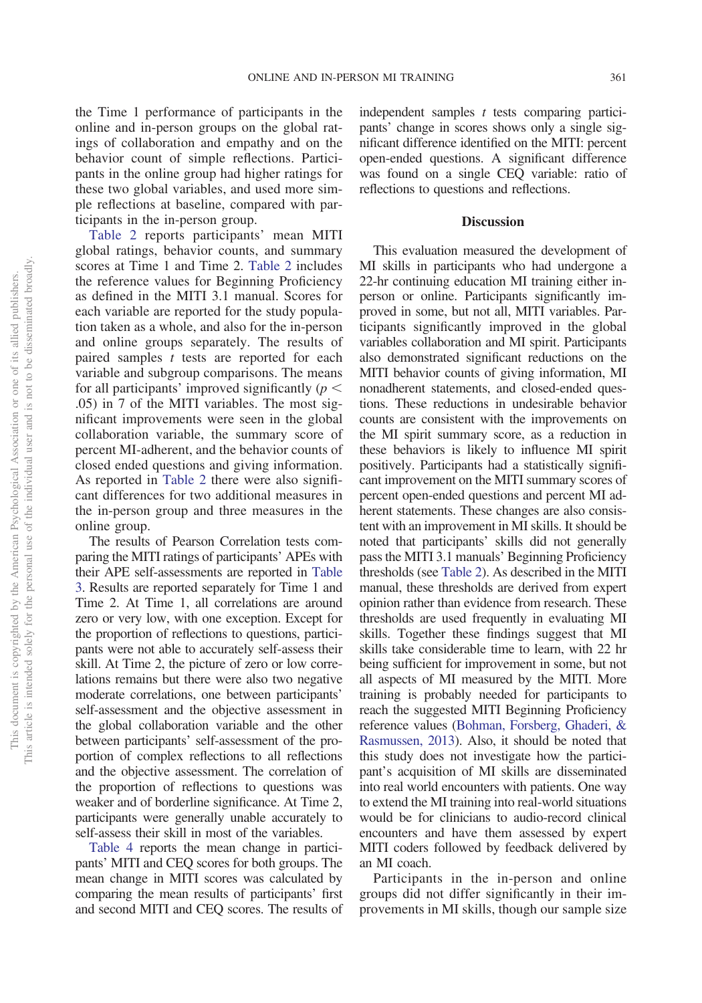the Time 1 performance of participants in the online and in-person groups on the global ratings of collaboration and empathy and on the behavior count of simple reflections. Participants in the online group had higher ratings for these two global variables, and used more simple reflections at baseline, compared with participants in the in-person group.

[Table 2](#page-5-0) reports participants' mean MITI global ratings, behavior counts, and summary scores at Time 1 and Time 2. [Table 2](#page-5-0) includes the reference values for Beginning Proficiency as defined in the MITI 3.1 manual. Scores for each variable are reported for the study population taken as a whole, and also for the in-person and online groups separately. The results of paired samples *t* tests are reported for each variable and subgroup comparisons. The means for all participants' improved significantly  $(p <$ .05) in 7 of the MITI variables. The most significant improvements were seen in the global collaboration variable, the summary score of percent MI-adherent, and the behavior counts of closed ended questions and giving information. As reported in [Table 2](#page-5-0) there were also significant differences for two additional measures in the in-person group and three measures in the online group.

The results of Pearson Correlation tests comparing the MITI ratings of participants' APEs with their APE self-assessments are reported in [Table](#page-6-0) [3.](#page-6-0) Results are reported separately for Time 1 and Time 2. At Time 1, all correlations are around zero or very low, with one exception. Except for the proportion of reflections to questions, participants were not able to accurately self-assess their skill. At Time 2, the picture of zero or low correlations remains but there were also two negative moderate correlations, one between participants' self-assessment and the objective assessment in the global collaboration variable and the other between participants' self-assessment of the proportion of complex reflections to all reflections and the objective assessment. The correlation of the proportion of reflections to questions was weaker and of borderline significance. At Time 2, participants were generally unable accurately to self-assess their skill in most of the variables.

[Table 4](#page-7-0) reports the mean change in participants' MITI and CEQ scores for both groups. The mean change in MITI scores was calculated by comparing the mean results of participants' first and second MITI and CEQ scores. The results of independent samples *t* tests comparing participants' change in scores shows only a single significant difference identified on the MITI: percent open-ended questions. A significant difference was found on a single CEQ variable: ratio of reflections to questions and reflections.

## **Discussion**

This evaluation measured the development of MI skills in participants who had undergone a 22-hr continuing education MI training either inperson or online. Participants significantly improved in some, but not all, MITI variables. Participants significantly improved in the global variables collaboration and MI spirit. Participants also demonstrated significant reductions on the MITI behavior counts of giving information, MI nonadherent statements, and closed-ended questions. These reductions in undesirable behavior counts are consistent with the improvements on the MI spirit summary score, as a reduction in these behaviors is likely to influence MI spirit positively. Participants had a statistically significant improvement on the MITI summary scores of percent open-ended questions and percent MI adherent statements. These changes are also consistent with an improvement in MI skills. It should be noted that participants' skills did not generally pass the MITI 3.1 manuals' Beginning Proficiency thresholds (see [Table 2\)](#page-5-0). As described in the MITI manual, these thresholds are derived from expert opinion rather than evidence from research. These thresholds are used frequently in evaluating MI skills. Together these findings suggest that MI skills take considerable time to learn, with 22 hr being sufficient for improvement in some, but not all aspects of MI measured by the MITI. More training is probably needed for participants to reach the suggested MITI Beginning Proficiency reference values [\(Bohman, Forsberg, Ghaderi, &](#page-8-5) [Rasmussen, 2013\)](#page-8-5). Also, it should be noted that this study does not investigate how the participant's acquisition of MI skills are disseminated into real world encounters with patients. One way to extend the MI training into real-world situations would be for clinicians to audio-record clinical encounters and have them assessed by expert MITI coders followed by feedback delivered by an MI coach.

Participants in the in-person and online groups did not differ significantly in their improvements in MI skills, though our sample size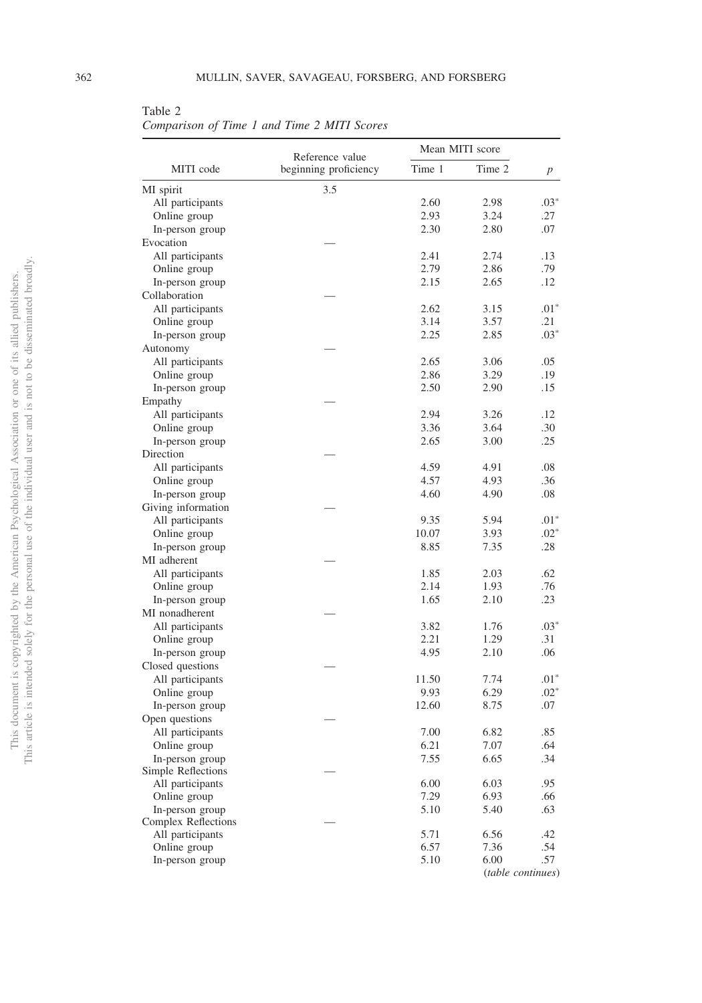<span id="page-5-0"></span>Table 2

*Comparison of Time 1 and Time 2 MITI Scores*

|                     | Reference value       | Mean MITI score |        |        |
|---------------------|-----------------------|-----------------|--------|--------|
| MITI code           | beginning proficiency | Time 1          | Time 2 | р      |
| MI spirit           | 3.5                   |                 |        |        |
| All participants    |                       | 2.60            | 2.98   | $.03*$ |
| Online group        |                       | 2.93            | 3.24   | .27    |
| In-person group     |                       | 2.30            | 2.80   | .07    |
| Evocation           |                       |                 |        |        |
| All participants    |                       | 2.41            | 2.74   | .13    |
| Online group        |                       | 2.79            | 2.86   | .79    |
| In-person group     |                       | 2.15            | 2.65   | .12    |
| Collaboration       |                       |                 |        |        |
| All participants    |                       | 2.62            | 3.15   | $.01*$ |
| Online group        |                       | 3.14            | 3.57   | .21    |
| In-person group     |                       | 2.25            | 2.85   | $.03*$ |
| Autonomy            |                       |                 |        |        |
| All participants    |                       | 2.65            | 3.06   | .05    |
| Online group        |                       | 2.86            | 3.29   | .19    |
| In-person group     |                       | 2.50            | 2.90   | .15    |
| Empathy             |                       |                 |        |        |
| All participants    |                       | 2.94            | 3.26   | .12    |
| Online group        |                       | 3.36            | 3.64   | .30    |
|                     |                       | 2.65            | 3.00   | .25    |
| In-person group     |                       |                 |        |        |
| Direction           |                       |                 |        |        |
| All participants    |                       | 4.59            | 4.91   | .08    |
| Online group        |                       | 4.57            | 4.93   | .36    |
| In-person group     |                       | 4.60            | 4.90   | .08    |
| Giving information  |                       |                 |        |        |
| All participants    |                       | 9.35            | 5.94   | $.01*$ |
| Online group        |                       | 10.07           | 3.93   | $.02*$ |
| In-person group     |                       | 8.85            | 7.35   | .28    |
| MI adherent         |                       |                 |        |        |
| All participants    |                       | 1.85            | 2.03   | .62    |
| Online group        |                       | 2.14            | 1.93   | .76    |
| In-person group     |                       | 1.65            | 2.10   | .23    |
| MI nonadherent      |                       |                 |        |        |
| All participants    |                       | 3.82            | 1.76   | $.03*$ |
| Online group        |                       | 2.21            | 1.29   | .31    |
| In-person group     |                       | 4.95            | 2.10   | .06    |
| Closed questions    |                       |                 |        |        |
| All participants    |                       | 11.50           | 7.74   | $.01*$ |
| Online group        |                       | 9.93            | 6.29   | $.02*$ |
| In-person group     |                       | 12.60           | 8.75   | .07    |
| Open questions      |                       |                 |        |        |
| All participants    |                       | 7.00            | 6.82   | .85    |
| Online group        |                       | 6.21            | 7.07   | .64    |
| In-person group     |                       | 7.55            | 6.65   | .34    |
| Simple Reflections  |                       |                 |        |        |
| All participants    |                       | 6.00            | 6.03   | .95    |
| Online group        |                       | 7.29            | 6.93   | .66    |
| In-person group     |                       | 5.10            | 5.40   | .63    |
| Complex Reflections |                       |                 |        |        |
| All participants    |                       | 5.71            | 6.56   | .42    |
| Online group        |                       | 6.57            | 7.36   | .54    |
| In-person group     |                       | 5.10            | 6.00   | .57    |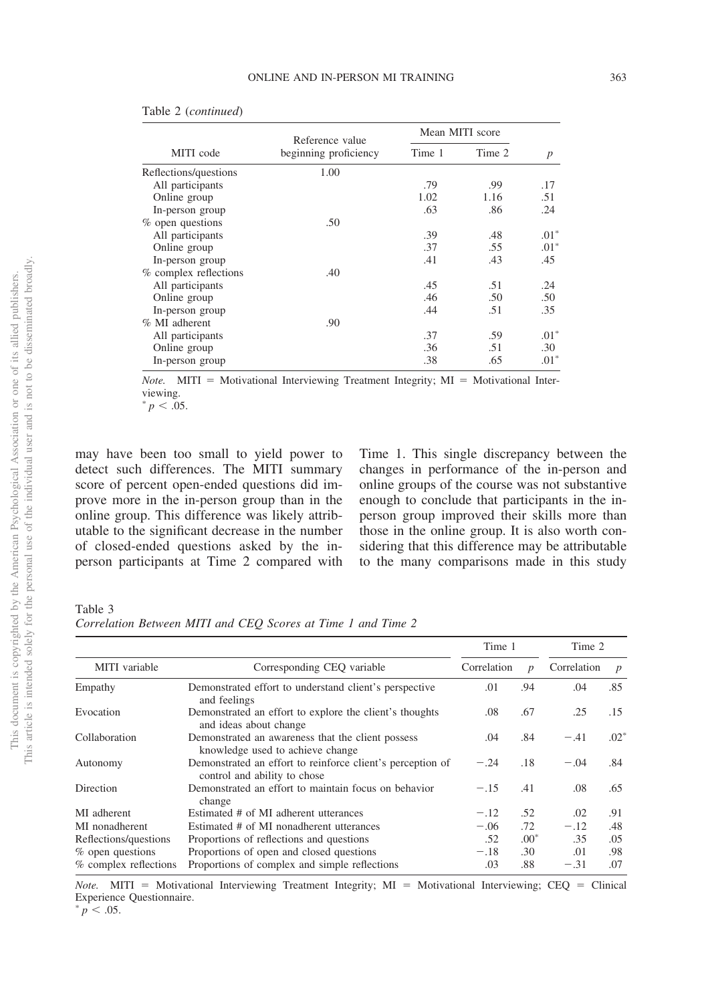| Re             |                          |
|----------------|--------------------------|
|                | ł                        |
|                | $\overline{\phantom{a}}$ |
|                |                          |
| $\frac{1}{\%}$ |                          |
|                | í                        |
|                | $\overline{\phantom{a}}$ |
|                | j                        |
| %              |                          |
|                | J,                       |

|  | Table 2 (continued) |
|--|---------------------|
|--|---------------------|

| beginning proficiency | Time 1          | Time 2 | $\boldsymbol{p}$ |  |
|-----------------------|-----------------|--------|------------------|--|
| 1.00                  |                 |        |                  |  |
|                       | .79             | .99    | .17              |  |
|                       | 1.02            | 1.16   | .51              |  |
|                       | .63             | .86    | .24              |  |
| .50                   |                 |        |                  |  |
|                       | .39             | .48    | $.01*$           |  |
|                       | .37             | .55    | $.01*$           |  |
|                       | .41             | .43    | .45              |  |
| .40                   |                 |        |                  |  |
|                       | .45             | .51    | .24              |  |
|                       | .46             | .50    | .50              |  |
|                       | .44             | .51    | .35              |  |
| .90                   |                 |        |                  |  |
|                       | .37             | .59    | $.01*$           |  |
|                       | .36             | .51    | .30              |  |
|                       | .38             | .65    | $.01*$           |  |
|                       | Reference value |        | Mean MITI score  |  |

*Note.* MITI = Motivational Interviewing Treatment Integrity;  $MI =$  Motivational Interviewing.

 $p < .05$ .

may have been too small to yield power to detect such differences. The MITI summary score of percent open-ended questions did improve more in the in-person group than in the online group. This difference was likely attributable to the significant decrease in the number of closed-ended questions asked by the inperson participants at Time 2 compared with Time 1. This single discrepancy between the changes in performance of the in-person and online groups of the course was not substantive enough to conclude that participants in the inperson group improved their skills more than those in the online group. It is also worth considering that this difference may be attributable to the many comparisons made in this study

<span id="page-6-0"></span>Table 3

*Correlation Between MITI and CEQ Scores at Time 1 and Time 2*

|                                             |                                                                                            | Time 1                          |        | Time 2                          |        |
|---------------------------------------------|--------------------------------------------------------------------------------------------|---------------------------------|--------|---------------------------------|--------|
| MITI variable<br>Corresponding CEO variable |                                                                                            | Correlation<br>$\boldsymbol{p}$ |        | Correlation<br>$\boldsymbol{p}$ |        |
| Empathy                                     | Demonstrated effort to understand client's perspective<br>and feelings                     | .01                             | .94    | .04                             | .85    |
| Evocation                                   | Demonstrated an effort to explore the client's thoughts<br>and ideas about change          | .08                             | .67    | .25                             | .15    |
| Collaboration                               | Demonstrated an awareness that the client possess<br>knowledge used to achieve change      | .04                             | .84    | $-.41$                          | $.02*$ |
| Autonomy                                    | Demonstrated an effort to reinforce client's perception of<br>control and ability to chose | $-.24$                          | .18    | $-.04$                          | .84    |
| <b>Direction</b>                            | Demonstrated an effort to maintain focus on behavior<br>change                             | $-.15$                          | .41    | .08                             | .65    |
| MI adherent                                 | Estimated # of MI adherent utterances                                                      | $-.12$                          | .52    | .02                             | .91    |
| MI nonadherent                              | Estimated # of MI nonadherent utterances                                                   | $-.06$                          | .72    | $-.12$                          | .48    |
| Reflections/questions                       | Proportions of reflections and questions                                                   | .52                             | $.00*$ | .35                             | .05    |
| $%$ open questions                          | Proportions of open and closed questions                                                   | $-.18$                          | .30    | .01                             | .98    |
| % complex reflections                       | Proportions of complex and simple reflections                                              | .03                             | .88    | $-.31$                          | .07    |

*Note.* MITI = Motivational Interviewing Treatment Integrity; MI = Motivational Interviewing; CEQ = Clinical Experience Questionnaire.

 $\frac{1}{p}$  < .05.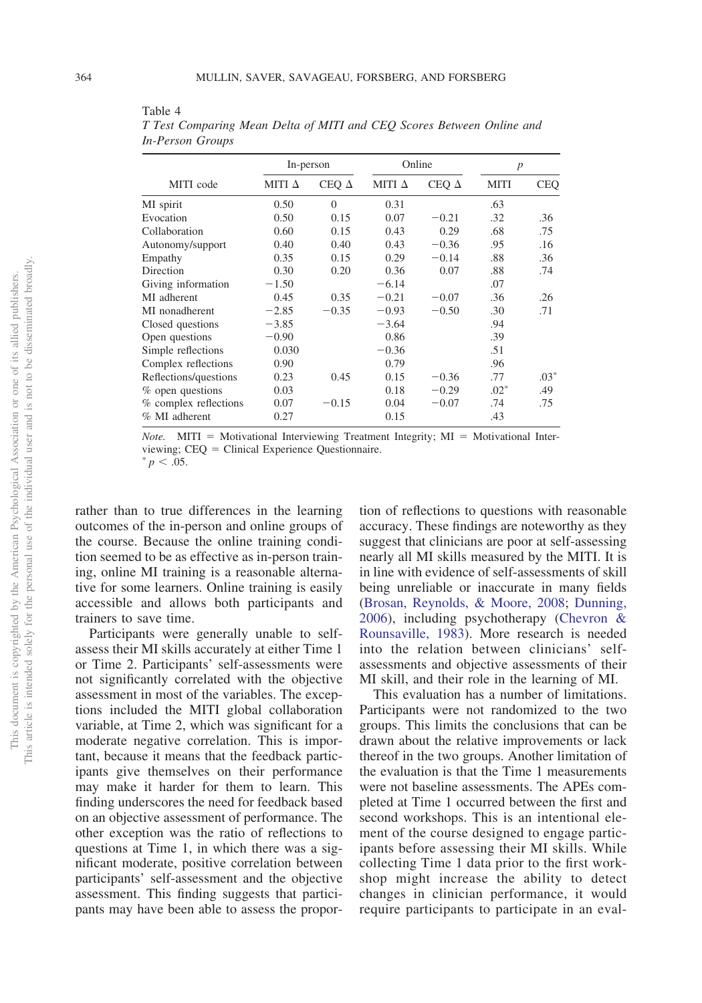|                       | In-person     |              | Online        |              | $\boldsymbol{p}$ |            |
|-----------------------|---------------|--------------|---------------|--------------|------------------|------------|
| MITI code             | MITI $\Delta$ | CEQ $\Delta$ | MITI $\Delta$ | CEQ $\Delta$ | <b>MITI</b>      | <b>CEQ</b> |
| MI spirit             | 0.50          | $\Omega$     | 0.31          |              | .63              |            |
| Evocation             | 0.50          | 0.15         | 0.07          | $-0.21$      | .32              | .36        |
| Collaboration         | 0.60          | 0.15         | 0.43          | 0.29         | .68              | .75        |
| Autonomy/support      | 0.40          | 0.40         | 0.43          | $-0.36$      | .95              | .16        |
| Empathy               | 0.35          | 0.15         | 0.29          | $-0.14$      | .88              | .36        |
| Direction             | 0.30          | 0.20         | 0.36          | 0.07         | .88              | .74        |
| Giving information    | $-1.50$       |              | $-6.14$       |              | .07              |            |
| MI adherent           | 0.45          | 0.35         | $-0.21$       | $-0.07$      | .36              | .26        |
| MI nonadherent        | $-2.85$       | $-0.35$      | $-0.93$       | $-0.50$      | .30              | .71        |
| Closed questions      | $-3.85$       |              | $-3.64$       |              | .94              |            |
| Open questions        | $-0.90$       |              | 0.86          |              | .39              |            |
| Simple reflections    | 0.030         |              | $-0.36$       |              | .51              |            |
| Complex reflections   | 0.90          |              | 0.79          |              | .96              |            |
| Reflections/questions | 0.23          | 0.45         | 0.15          | $-0.36$      | .77              | $.03*$     |
| % open questions      | 0.03          |              | 0.18          | $-0.29$      | $.02*$           | .49        |
| % complex reflections | 0.07          | $-0.15$      | 0.04          | $-0.07$      | .74              | .75        |
| % MI adherent         | 0.27          |              | 0.15          |              | .43              |            |
|                       |               |              |               |              |                  |            |

<span id="page-7-0"></span>Table 4 *T Test Comparing Mean Delta of MITI and CEQ Scores Between Online and In-Person Groups*

*Note.* MITI = Motivational Interviewing Treatment Integrity;  $MI = Motivational Inter$ viewing;  $CEQ =$  Clinical Experience Questionnaire.

 $^{*}p < .05$ .

rather than to true differences in the learning outcomes of the in-person and online groups of the course. Because the online training condition seemed to be as effective as in-person training, online MI training is a reasonable alternative for some learners. Online training is easily accessible and allows both participants and trainers to save time.

Participants were generally unable to selfassess their MI skills accurately at either Time 1 or Time 2. Participants' self-assessments were not significantly correlated with the objective assessment in most of the variables. The exceptions included the MITI global collaboration variable, at Time 2, which was significant for a moderate negative correlation. This is important, because it means that the feedback participants give themselves on their performance may make it harder for them to learn. This finding underscores the need for feedback based on an objective assessment of performance. The other exception was the ratio of reflections to questions at Time 1, in which there was a significant moderate, positive correlation between participants' self-assessment and the objective assessment. This finding suggests that participants may have been able to assess the proportion of reflections to questions with reasonable accuracy. These findings are noteworthy as they suggest that clinicians are poor at self-assessing nearly all MI skills measured by the MITI. It is in line with evidence of self-assessments of skill being unreliable or inaccurate in many fields [\(Brosan, Reynolds, & Moore, 2008;](#page-8-6) [Dunning,](#page-8-7) [2006\)](#page-8-7), including psychotherapy [\(Chevron &](#page-8-8) [Rounsaville, 1983\)](#page-8-8). More research is needed into the relation between clinicians' selfassessments and objective assessments of their MI skill, and their role in the learning of MI.

This evaluation has a number of limitations. Participants were not randomized to the two groups. This limits the conclusions that can be drawn about the relative improvements or lack thereof in the two groups. Another limitation of the evaluation is that the Time 1 measurements were not baseline assessments. The APEs completed at Time 1 occurred between the first and second workshops. This is an intentional element of the course designed to engage participants before assessing their MI skills. While collecting Time 1 data prior to the first workshop might increase the ability to detect changes in clinician performance, it would require participants to participate in an eval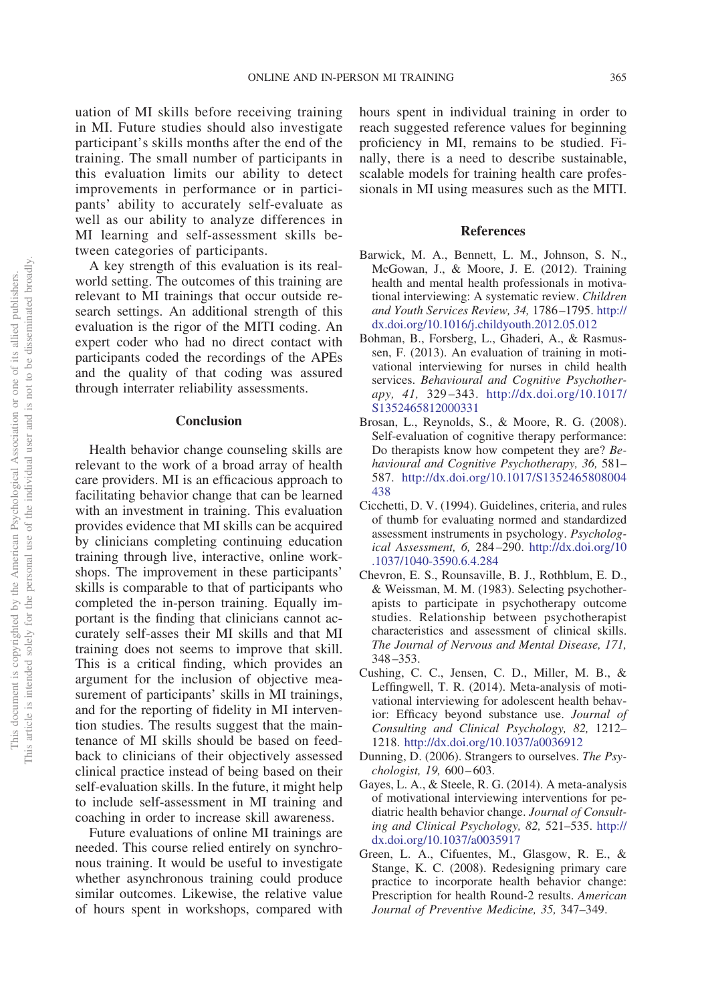uation of MI skills before receiving training in MI. Future studies should also investigate participant's skills months after the end of the training. The small number of participants in this evaluation limits our ability to detect improvements in performance or in participants' ability to accurately self-evaluate as well as our ability to analyze differences in MI learning and self-assessment skills between categories of participants.

A key strength of this evaluation is its realworld setting. The outcomes of this training are relevant to MI trainings that occur outside research settings. An additional strength of this evaluation is the rigor of the MITI coding. An expert coder who had no direct contact with participants coded the recordings of the APEs and the quality of that coding was assured through interrater reliability assessments.

## **Conclusion**

Health behavior change counseling skills are relevant to the work of a broad array of health care providers. MI is an efficacious approach to facilitating behavior change that can be learned with an investment in training. This evaluation provides evidence that MI skills can be acquired by clinicians completing continuing education training through live, interactive, online workshops. The improvement in these participants' skills is comparable to that of participants who completed the in-person training. Equally important is the finding that clinicians cannot accurately self-asses their MI skills and that MI training does not seems to improve that skill. This is a critical finding, which provides an argument for the inclusion of objective measurement of participants' skills in MI trainings, and for the reporting of fidelity in MI intervention studies. The results suggest that the maintenance of MI skills should be based on feedback to clinicians of their objectively assessed clinical practice instead of being based on their self-evaluation skills. In the future, it might help to include self-assessment in MI training and coaching in order to increase skill awareness.

Future evaluations of online MI trainings are needed. This course relied entirely on synchronous training. It would be useful to investigate whether asynchronous training could produce similar outcomes. Likewise, the relative value of hours spent in workshops, compared with hours spent in individual training in order to reach suggested reference values for beginning proficiency in MI, remains to be studied. Finally, there is a need to describe sustainable, scalable models for training health care professionals in MI using measures such as the MITI.

#### **References**

- <span id="page-8-3"></span>Barwick, M. A., Bennett, L. M., Johnson, S. N., McGowan, J., & Moore, J. E. (2012). Training health and mental health professionals in motivational interviewing: A systematic review. *Children and Youth Services Review, 34,* 1786–1795. [http://](http://dx.doi.org/10.1016/j.childyouth.2012.05.012) [dx.doi.org/10.1016/j.childyouth.2012.05.012](http://dx.doi.org/10.1016/j.childyouth.2012.05.012)
- <span id="page-8-5"></span>Bohman, B., Forsberg, L., Ghaderi, A., & Rasmussen, F. (2013). An evaluation of training in motivational interviewing for nurses in child health services. *Behavioural and Cognitive Psychotherapy, 41,* 329–343. [http://dx.doi.org/10.1017/](http://dx.doi.org/10.1017/S1352465812000331) [S1352465812000331](http://dx.doi.org/10.1017/S1352465812000331)
- <span id="page-8-6"></span>Brosan, L., Reynolds, S., & Moore, R. G. (2008). Self-evaluation of cognitive therapy performance: Do therapists know how competent they are? *Behavioural and Cognitive Psychotherapy, 36,* 581– 587. [http://dx.doi.org/10.1017/S1352465808004](http://dx.doi.org/10.1017/S1352465808004438) [438](http://dx.doi.org/10.1017/S1352465808004438)
- <span id="page-8-4"></span>Cicchetti, D. V. (1994). Guidelines, criteria, and rules of thumb for evaluating normed and standardized assessment instruments in psychology. *Psychological Assessment, 6,* 284–290. [http://dx.doi.org/10](http://dx.doi.org/10.1037/1040-3590.6.4.284) [.1037/1040-3590.6.4.284](http://dx.doi.org/10.1037/1040-3590.6.4.284)
- <span id="page-8-8"></span>Chevron, E. S., Rounsaville, B. J., Rothblum, E. D., & Weissman, M. M. (1983). Selecting psychotherapists to participate in psychotherapy outcome studies. Relationship between psychotherapist characteristics and assessment of clinical skills. *The Journal of Nervous and Mental Disease, 171,* 348–353.
- <span id="page-8-1"></span>Cushing, C. C., Jensen, C. D., Miller, M. B., & Leffingwell, T. R. (2014). Meta-analysis of motivational interviewing for adolescent health behavior: Efficacy beyond substance use. *Journal of Consulting and Clinical Psychology, 82,* 1212– 1218. <http://dx.doi.org/10.1037/a0036912>
- <span id="page-8-7"></span>Dunning, D. (2006). Strangers to ourselves. *The Psychologist, 19,* 600–603.
- <span id="page-8-2"></span>Gayes, L. A., & Steele, R. G. (2014). A meta-analysis of motivational interviewing interventions for pediatric health behavior change. *Journal of Consulting and Clinical Psychology, 82,* 521–535. [http://](http://dx.doi.org/10.1037/a0035917) [dx.doi.org/10.1037/a0035917](http://dx.doi.org/10.1037/a0035917)
- <span id="page-8-0"></span>Green, L. A., Cifuentes, M., Glasgow, R. E., & Stange, K. C. (2008). Redesigning primary care practice to incorporate health behavior change: Prescription for health Round-2 results. *American Journal of Preventive Medicine, 35,* 347–349.